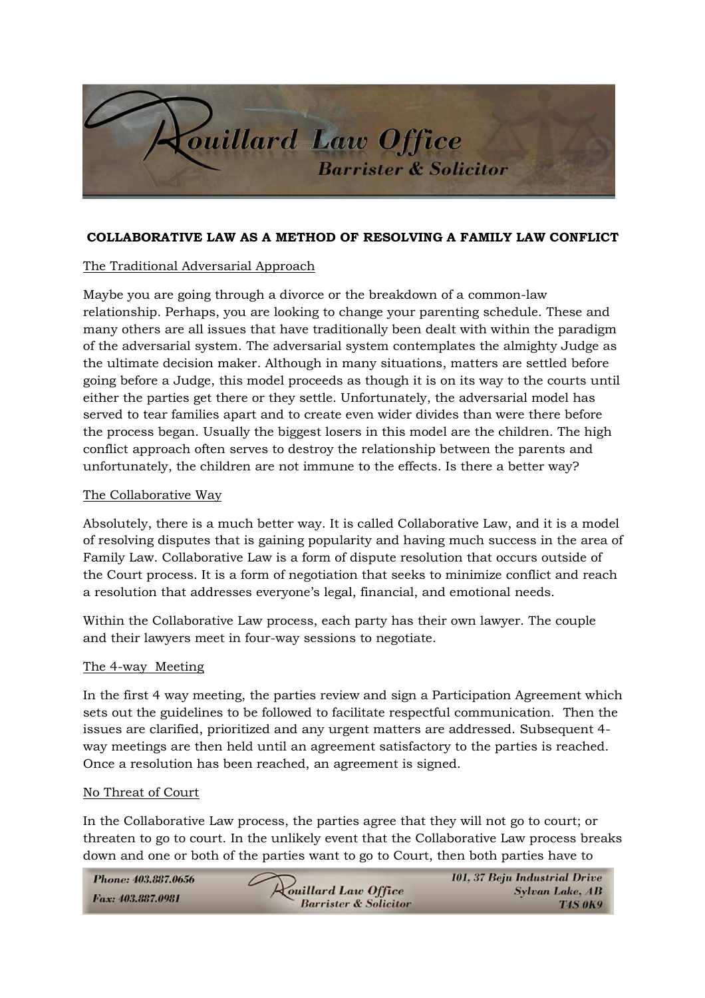

## **COLLABORATIVE LAW AS A METHOD OF RESOLVING A FAMILY LAW CONFLICT**

# The Traditional Adversarial Approach

Maybe you are going through a divorce or the breakdown of a common-law relationship. Perhaps, you are looking to change your parenting schedule. These and many others are all issues that have traditionally been dealt with within the paradigm of the adversarial system. The adversarial system contemplates the almighty Judge as the ultimate decision maker. Although in many situations, matters are settled before going before a Judge, this model proceeds as though it is on its way to the courts until either the parties get there or they settle. Unfortunately, the adversarial model has served to tear families apart and to create even wider divides than were there before the process began. Usually the biggest losers in this model are the children. The high conflict approach often serves to destroy the relationship between the parents and unfortunately, the children are not immune to the effects. Is there a better way?

### The Collaborative Way

Absolutely, there is a much better way. It is called Collaborative Law, and it is a model of resolving disputes that is gaining popularity and having much success in the area of Family Law. Collaborative Law is a form of dispute resolution that occurs outside of the Court process. It is a form of negotiation that seeks to minimize conflict and reach a resolution that addresses everyone's legal, financial, and emotional needs.

Within the Collaborative Law process, each party has their own lawyer. The couple and their lawyers meet in four-way sessions to negotiate.

### The 4-way Meeting

In the first 4 way meeting, the parties review and sign a Participation Agreement which sets out the guidelines to be followed to facilitate respectful communication. Then the issues are clarified, prioritized and any urgent matters are addressed. Subsequent 4 way meetings are then held until an agreement satisfactory to the parties is reached. Once a resolution has been reached, an agreement is signed.

#### No Threat of Court

In the Collaborative Law process, the parties agree that they will not go to court; or threaten to go to court. In the unlikely event that the Collaborative Law process breaks down and one or both of the parties want to go to Court, then both parties have to